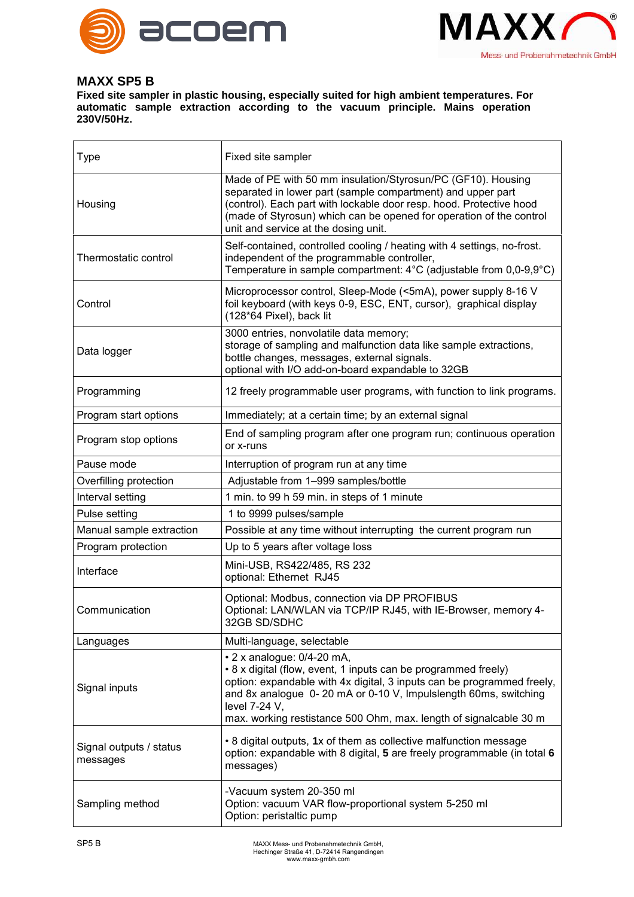



## **MAXX SP5 B**

**Fixed site sampler in plastic housing, especially suited for high ambient temperatures. For automatic sample extraction according to the vacuum principle. Mains operation 230V/50Hz.**

| Type                                | Fixed site sampler                                                                                                                                                                                                                                                                                                              |
|-------------------------------------|---------------------------------------------------------------------------------------------------------------------------------------------------------------------------------------------------------------------------------------------------------------------------------------------------------------------------------|
| Housing                             | Made of PE with 50 mm insulation/Styrosun/PC (GF10). Housing<br>separated in lower part (sample compartment) and upper part<br>(control). Each part with lockable door resp. hood. Protective hood<br>(made of Styrosun) which can be opened for operation of the control<br>unit and service at the dosing unit.               |
| Thermostatic control                | Self-contained, controlled cooling / heating with 4 settings, no-frost.<br>independent of the programmable controller,<br>Temperature in sample compartment: 4°C (adjustable from 0,0-9,9°C)                                                                                                                                    |
| Control                             | Microprocessor control, Sleep-Mode (<5mA), power supply 8-16 V<br>foil keyboard (with keys 0-9, ESC, ENT, cursor), graphical display<br>(128*64 Pixel), back lit                                                                                                                                                                |
| Data logger                         | 3000 entries, nonvolatile data memory;<br>storage of sampling and malfunction data like sample extractions,<br>bottle changes, messages, external signals.<br>optional with I/O add-on-board expandable to 32GB                                                                                                                 |
| Programming                         | 12 freely programmable user programs, with function to link programs.                                                                                                                                                                                                                                                           |
| Program start options               | Immediately; at a certain time; by an external signal                                                                                                                                                                                                                                                                           |
| Program stop options                | End of sampling program after one program run; continuous operation<br>or x-runs                                                                                                                                                                                                                                                |
| Pause mode                          | Interruption of program run at any time                                                                                                                                                                                                                                                                                         |
| Overfilling protection              | Adjustable from 1-999 samples/bottle                                                                                                                                                                                                                                                                                            |
| Interval setting                    | 1 min. to 99 h 59 min. in steps of 1 minute                                                                                                                                                                                                                                                                                     |
| Pulse setting                       | 1 to 9999 pulses/sample                                                                                                                                                                                                                                                                                                         |
| Manual sample extraction            | Possible at any time without interrupting the current program run                                                                                                                                                                                                                                                               |
| Program protection                  | Up to 5 years after voltage loss                                                                                                                                                                                                                                                                                                |
| Interface                           | Mini-USB, RS422/485, RS 232<br>optional: Ethernet RJ45                                                                                                                                                                                                                                                                          |
| Communication                       | Optional: Modbus, connection via DP PROFIBUS<br>Optional: LAN/WLAN via TCP/IP RJ45, with IE-Browser, memory 4-<br>32GB SD/SDHC                                                                                                                                                                                                  |
| Languages                           | Multi-language, selectable                                                                                                                                                                                                                                                                                                      |
| Signal inputs                       | • 2 x analogue: 0/4-20 mA,<br>• 8 x digital (flow, event, 1 inputs can be programmed freely)<br>option: expandable with 4x digital, 3 inputs can be programmed freely,<br>and 8x analogue 0-20 mA or 0-10 V, Impulslength 60ms, switching<br>level 7-24 V,<br>max. working restistance 500 Ohm, max. length of signalcable 30 m |
| Signal outputs / status<br>messages | • 8 digital outputs, 1x of them as collective malfunction message<br>option: expandable with 8 digital, 5 are freely programmable (in total 6<br>messages)                                                                                                                                                                      |
| Sampling method                     | -Vacuum system 20-350 ml<br>Option: vacuum VAR flow-proportional system 5-250 ml<br>Option: peristaltic pump                                                                                                                                                                                                                    |